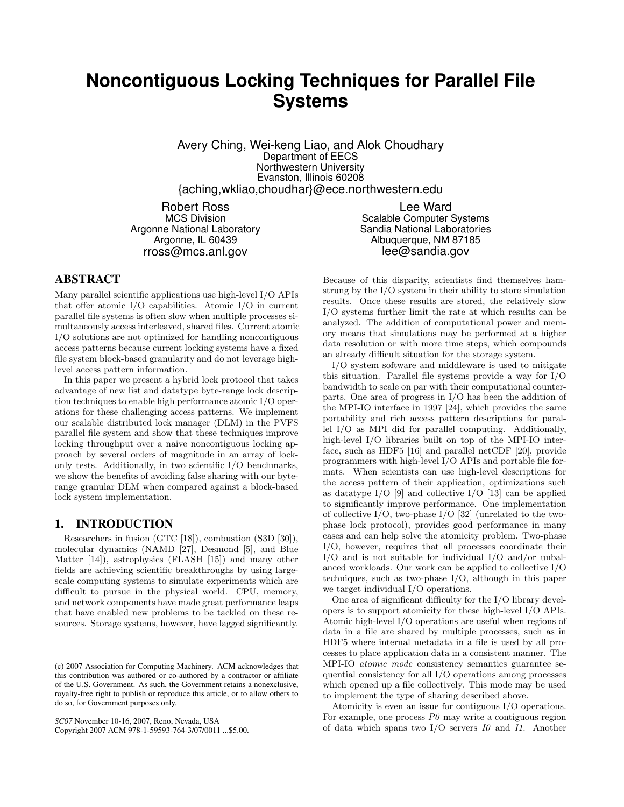# **Noncontiguous Locking Techniques for Parallel File Systems**

Avery Ching, Wei-keng Liao, and Alok Choudhary Department of EECS Northwestern University Evanston, Illinois 60208 {aching,wkliao,choudhar}@ece.northwestern.edu

Robert Ross MCS Division Argonne National Laboratory Argonne, IL 60439 rross@mcs.anl.gov

Lee Ward Scalable Computer Systems Sandia National Laboratories Albuquerque, NM 87185 lee@sandia.gov

## **ABSTRACT**

Many parallel scientific applications use high-level I/O APIs that offer atomic I/O capabilities. Atomic I/O in current parallel file systems is often slow when multiple processes simultaneously access interleaved, shared files. Current atomic I/O solutions are not optimized for handling noncontiguous access patterns because current locking systems have a fixed file system block-based granularity and do not leverage highlevel access pattern information.

In this paper we present a hybrid lock protocol that takes advantage of new list and datatype byte-range lock description techniques to enable high performance atomic I/O operations for these challenging access patterns. We implement our scalable distributed lock manager (DLM) in the PVFS parallel file system and show that these techniques improve locking throughput over a naive noncontiguous locking approach by several orders of magnitude in an array of lockonly tests. Additionally, in two scientific I/O benchmarks, we show the benefits of avoiding false sharing with our byterange granular DLM when compared against a block-based lock system implementation.

#### **1. INTRODUCTION**

Researchers in fusion (GTC [18]), combustion (S3D [30]), molecular dynamics (NAMD [27], Desmond [5], and Blue Matter [14]), astrophysics (FLASH [15]) and many other fields are achieving scientific breakthroughs by using largescale computing systems to simulate experiments which are difficult to pursue in the physical world. CPU, memory, and network components have made great performance leaps that have enabled new problems to be tackled on these resources. Storage systems, however, have lagged significantly.

*SC07* November 10-16, 2007, Reno, Nevada, USA

Copyright 2007 ACM 978-1-59593-764-3/07/0011 ...\$5.00.

Because of this disparity, scientists find themselves hamstrung by the I/O system in their ability to store simulation results. Once these results are stored, the relatively slow I/O systems further limit the rate at which results can be analyzed. The addition of computational power and memory means that simulations may be performed at a higher data resolution or with more time steps, which compounds an already difficult situation for the storage system.

I/O system software and middleware is used to mitigate this situation. Parallel file systems provide a way for I/O bandwidth to scale on par with their computational counterparts. One area of progress in I/O has been the addition of the MPI-IO interface in 1997 [24], which provides the same portability and rich access pattern descriptions for parallel I/O as MPI did for parallel computing. Additionally, high-level I/O libraries built on top of the MPI-IO interface, such as HDF5 [16] and parallel netCDF [20], provide programmers with high-level I/O APIs and portable file formats. When scientists can use high-level descriptions for the access pattern of their application, optimizations such as datatype I/O [9] and collective I/O [13] can be applied to significantly improve performance. One implementation of collective I/O, two-phase I/O [32] (unrelated to the twophase lock protocol), provides good performance in many cases and can help solve the atomicity problem. Two-phase I/O, however, requires that all processes coordinate their I/O and is not suitable for individual I/O and/or unbalanced workloads. Our work can be applied to collective I/O techniques, such as two-phase I/O, although in this paper we target individual I/O operations.

One area of significant difficulty for the I/O library developers is to support atomicity for these high-level I/O APIs. Atomic high-level I/O operations are useful when regions of data in a file are shared by multiple processes, such as in HDF5 where internal metadata in a file is used by all processes to place application data in a consistent manner. The MPI-IO atomic mode consistency semantics guarantee sequential consistency for all I/O operations among processes which opened up a file collectively. This mode may be used to implement the type of sharing described above.

Atomicity is even an issue for contiguous I/O operations. For example, one process  $P\theta$  may write a contiguous region of data which spans two  $I/O$  servers  $I/O$  and  $II.$  Another

<sup>(</sup>c) 2007 Association for Computing Machinery. ACM acknowledges that this contribution was authored or co-authored by a contractor or affiliate of the U.S. Government. As such, the Government retains a nonexclusive, royalty-free right to publish or reproduce this article, or to allow others to do so, for Government purposes only.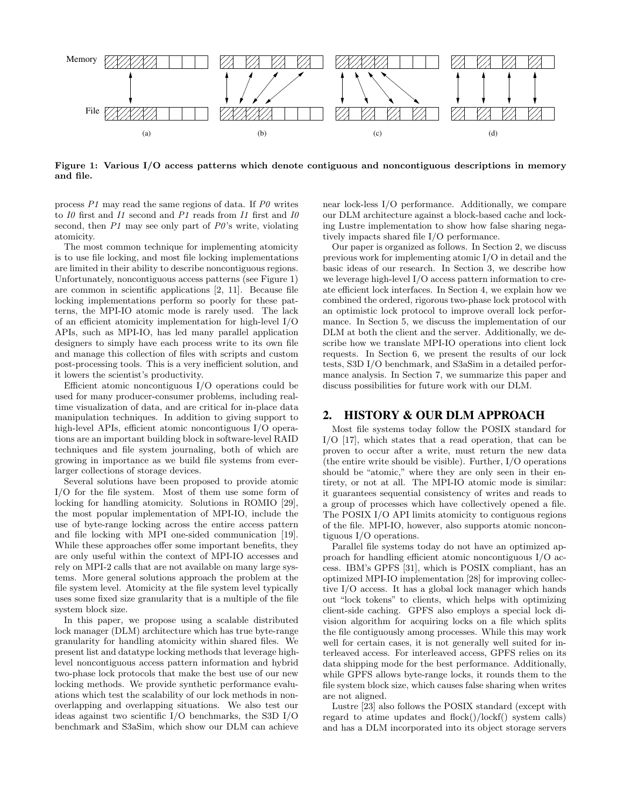

Figure 1: Various I/O access patterns which denote contiguous and noncontiguous descriptions in memory and file.

process  $P1$  may read the same regions of data. If  $P0$  writes to *I0* first and *I1* second and *P1* reads from *I1* first and *I0* second, then  $P1$  may see only part of  $P0$ 's write, violating atomicity.

The most common technique for implementing atomicity is to use file locking, and most file locking implementations are limited in their ability to describe noncontiguous regions. Unfortunately, noncontiguous access patterns (see Figure 1) are common in scientific applications [2, 11]. Because file locking implementations perform so poorly for these patterns, the MPI-IO atomic mode is rarely used. The lack of an efficient atomicity implementation for high-level I/O APIs, such as MPI-IO, has led many parallel application designers to simply have each process write to its own file and manage this collection of files with scripts and custom post-processing tools. This is a very inefficient solution, and it lowers the scientist's productivity.

Efficient atomic noncontiguous I/O operations could be used for many producer-consumer problems, including realtime visualization of data, and are critical for in-place data manipulation techniques. In addition to giving support to high-level APIs, efficient atomic noncontiguous I/O operations are an important building block in software-level RAID techniques and file system journaling, both of which are growing in importance as we build file systems from everlarger collections of storage devices.

Several solutions have been proposed to provide atomic I/O for the file system. Most of them use some form of locking for handling atomicity. Solutions in ROMIO [29], the most popular implementation of MPI-IO, include the use of byte-range locking across the entire access pattern and file locking with MPI one-sided communication [19]. While these approaches offer some important benefits, they are only useful within the context of MPI-IO accesses and rely on MPI-2 calls that are not available on many large systems. More general solutions approach the problem at the file system level. Atomicity at the file system level typically uses some fixed size granularity that is a multiple of the file system block size.

In this paper, we propose using a scalable distributed lock manager (DLM) architecture which has true byte-range granularity for handling atomicity within shared files. We present list and datatype locking methods that leverage highlevel noncontiguous access pattern information and hybrid two-phase lock protocols that make the best use of our new locking methods. We provide synthetic performance evaluations which test the scalability of our lock methods in nonoverlapping and overlapping situations. We also test our ideas against two scientific I/O benchmarks, the S3D I/O benchmark and S3aSim, which show our DLM can achieve

near lock-less I/O performance. Additionally, we compare our DLM architecture against a block-based cache and locking Lustre implementation to show how false sharing negatively impacts shared file I/O performance.

Our paper is organized as follows. In Section 2, we discuss previous work for implementing atomic I/O in detail and the basic ideas of our research. In Section 3, we describe how we leverage high-level I/O access pattern information to create efficient lock interfaces. In Section 4, we explain how we combined the ordered, rigorous two-phase lock protocol with an optimistic lock protocol to improve overall lock performance. In Section 5, we discuss the implementation of our DLM at both the client and the server. Additionally, we describe how we translate MPI-IO operations into client lock requests. In Section 6, we present the results of our lock tests, S3D I/O benchmark, and S3aSim in a detailed performance analysis. In Section 7, we summarize this paper and discuss possibilities for future work with our DLM.

#### **2. HISTORY & OUR DLM APPROACH**

Most file systems today follow the POSIX standard for I/O [17], which states that a read operation, that can be proven to occur after a write, must return the new data (the entire write should be visible). Further, I/O operations should be "atomic," where they are only seen in their entirety, or not at all. The MPI-IO atomic mode is similar: it guarantees sequential consistency of writes and reads to a group of processes which have collectively opened a file. The POSIX I/O API limits atomicity to contiguous regions of the file. MPI-IO, however, also supports atomic noncontiguous I/O operations.

Parallel file systems today do not have an optimized approach for handling efficient atomic noncontiguous I/O access. IBM's GPFS [31], which is POSIX compliant, has an optimized MPI-IO implementation [28] for improving collective I/O access. It has a global lock manager which hands out "lock tokens" to clients, which helps with optimizing client-side caching. GPFS also employs a special lock division algorithm for acquiring locks on a file which splits the file contiguously among processes. While this may work well for certain cases, it is not generally well suited for interleaved access. For interleaved access, GPFS relies on its data shipping mode for the best performance. Additionally, while GPFS allows byte-range locks, it rounds them to the file system block size, which causes false sharing when writes are not aligned.

Lustre [23] also follows the POSIX standard (except with regard to atime updates and flock()/lockf() system calls) and has a DLM incorporated into its object storage servers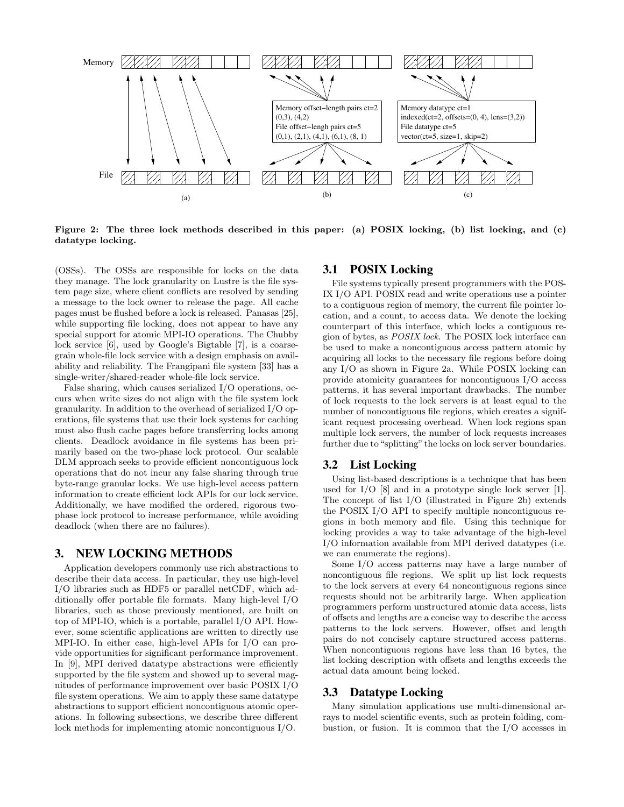

Figure 2: The three lock methods described in this paper: (a) POSIX locking, (b) list locking, and (c) datatype locking.

(OSSs). The OSSs are responsible for locks on the data they manage. The lock granularity on Lustre is the file system page size, where client conflicts are resolved by sending a message to the lock owner to release the page. All cache pages must be flushed before a lock is released. Panasas [25], while supporting file locking, does not appear to have any special support for atomic MPI-IO operations. The Chubby lock service [6], used by Google's Bigtable [7], is a coarsegrain whole-file lock service with a design emphasis on availability and reliability. The Frangipani file system [33] has a single-writer/shared-reader whole-file lock service.

False sharing, which causes serialized I/O operations, occurs when write sizes do not align with the file system lock granularity. In addition to the overhead of serialized I/O operations, file systems that use their lock systems for caching must also flush cache pages before transferring locks among clients. Deadlock avoidance in file systems has been primarily based on the two-phase lock protocol. Our scalable DLM approach seeks to provide efficient noncontiguous lock operations that do not incur any false sharing through true byte-range granular locks. We use high-level access pattern information to create efficient lock APIs for our lock service. Additionally, we have modified the ordered, rigorous twophase lock protocol to increase performance, while avoiding deadlock (when there are no failures).

## **3. NEW LOCKING METHODS**

Application developers commonly use rich abstractions to describe their data access. In particular, they use high-level I/O libraries such as HDF5 or parallel netCDF, which additionally offer portable file formats. Many high-level I/O libraries, such as those previously mentioned, are built on top of MPI-IO, which is a portable, parallel I/O API. However, some scientific applications are written to directly use MPI-IO. In either case, high-level APIs for I/O can provide opportunities for significant performance improvement. In [9], MPI derived datatype abstractions were efficiently supported by the file system and showed up to several magnitudes of performance improvement over basic POSIX I/O file system operations. We aim to apply these same datatype abstractions to support efficient noncontiguous atomic operations. In following subsections, we describe three different lock methods for implementing atomic noncontiguous I/O.

## **3.1 POSIX Locking**

File systems typically present programmers with the POS-IX I/O API. POSIX read and write operations use a pointer to a contiguous region of memory, the current file pointer location, and a count, to access data. We denote the locking counterpart of this interface, which locks a contiguous region of bytes, as POSIX lock. The POSIX lock interface can be used to make a noncontiguous access pattern atomic by acquiring all locks to the necessary file regions before doing any I/O as shown in Figure 2a. While POSIX locking can provide atomicity guarantees for noncontiguous I/O access patterns, it has several important drawbacks. The number of lock requests to the lock servers is at least equal to the number of noncontiguous file regions, which creates a significant request processing overhead. When lock regions span multiple lock servers, the number of lock requests increases further due to "splitting" the locks on lock server boundaries.

#### **3.2 List Locking**

Using list-based descriptions is a technique that has been used for I/O [8] and in a prototype single lock server [1]. The concept of list I/O (illustrated in Figure 2b) extends the POSIX I/O API to specify multiple noncontiguous regions in both memory and file. Using this technique for locking provides a way to take advantage of the high-level I/O information available from MPI derived datatypes (i.e. we can enumerate the regions).

Some I/O access patterns may have a large number of noncontiguous file regions. We split up list lock requests to the lock servers at every 64 noncontiguous regions since requests should not be arbitrarily large. When application programmers perform unstructured atomic data access, lists of offsets and lengths are a concise way to describe the access patterns to the lock servers. However, offset and length pairs do not concisely capture structured access patterns. When noncontiguous regions have less than 16 bytes, the list locking description with offsets and lengths exceeds the actual data amount being locked.

# **3.3 Datatype Locking**

Many simulation applications use multi-dimensional arrays to model scientific events, such as protein folding, combustion, or fusion. It is common that the I/O accesses in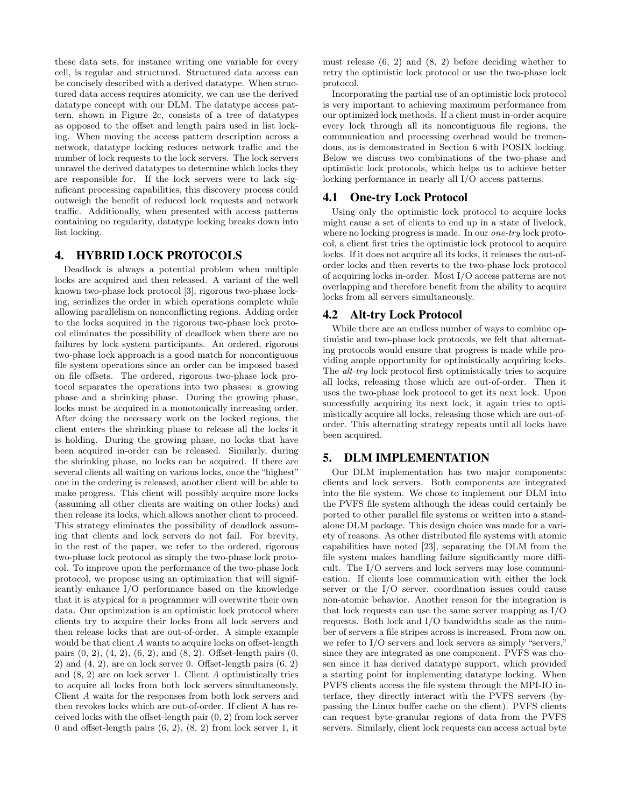these data sets, for instance writing one variable for every cell, is regular and structured. Structured data access can be concisely described with a derived datatype. When structured data access requires atomicity, we can use the derived datatype concept with our DLM. The datatype access pattern, shown in Figure 2c, consists of a tree of datatypes as opposed to the offset and length pairs used in list locking. When moving the access pattern description across a network, datatype locking reduces network traffic and the number of lock requests to the lock servers. The lock servers unravel the derived datatypes to determine which locks they are responsible for. If the lock servers were to lack significant processing capabilities, this discovery process could outweigh the benefit of reduced lock requests and network traffic. Additionally, when presented with access patterns containing no regularity, datatype locking breaks down into list locking.

### **4. HYBRID LOCK PROTOCOLS**

Deadlock is always a potential problem when multiple locks are acquired and then released. A variant of the well known two-phase lock protocol [3], rigorous two-phase locking, serializes the order in which operations complete while allowing parallelism on nonconflicting regions. Adding order to the locks acquired in the rigorous two-phase lock protocol eliminates the possibility of deadlock when there are no failures by lock system participants. An ordered, rigorous two-phase lock approach is a good match for noncontiguous file system operations since an order can be imposed based on file offsets. The ordered, rigorous two-phase lock protocol separates the operations into two phases: a growing phase and a shrinking phase. During the growing phase, locks must be acquired in a monotonically increasing order. After doing the necessary work on the locked regions, the client enters the shrinking phase to release all the locks it is holding. During the growing phase, no locks that have been acquired in-order can be released. Similarly, during the shrinking phase, no locks can be acquired. If there are several clients all waiting on various locks, once the "highest" one in the ordering is released, another client will be able to make progress. This client will possibly acquire more locks (assuming all other clients are waiting on other locks) and then release its locks, which allows another client to proceed. This strategy eliminates the possibility of deadlock assuming that clients and lock servers do not fail. For brevity, in the rest of the paper, we refer to the ordered, rigorous two-phase lock protocol as simply the two-phase lock protocol. To improve upon the performance of the two-phase lock protocol, we propose using an optimization that will significantly enhance I/O performance based on the knowledge that it is atypical for a programmer will overwrite their own data. Our optimization is an optimistic lock protocol where clients try to acquire their locks from all lock servers and then release locks that are out-of-order. A simple example would be that client A wants to acquire locks on offset-length pairs  $(0, 2)$ ,  $(4, 2)$ ,  $(6, 2)$ , and  $(8, 2)$ . Offset-length pairs  $(0, 1)$ 2) and  $(4, 2)$ , are on lock server 0. Offset-length pairs  $(6, 2)$ and (8, 2) are on lock server 1. Client A optimistically tries to acquire all locks from both lock servers simultaneously. Client A waits for the responses from both lock servers and then revokes locks which are out-of-order. If client A has received locks with the offset-length pair (0, 2) from lock server 0 and offset-length pairs  $(6, 2)$ ,  $(8, 2)$  from lock server 1, it

must release  $(6, 2)$  and  $(8, 2)$  before deciding whether to retry the optimistic lock protocol or use the two-phase lock protocol.

Incorporating the partial use of an optimistic lock protocol is very important to achieving maximum performance from our optimized lock methods. If a client must in-order acquire every lock through all its noncontiguous file regions, the communication and processing overhead would be tremendous, as is demonstrated in Section 6 with POSIX locking. Below we discuss two combinations of the two-phase and optimistic lock protocols, which helps us to achieve better locking performance in nearly all I/O access patterns.

### **4.1 One-try Lock Protocol**

Using only the optimistic lock protocol to acquire locks might cause a set of clients to end up in a state of livelock, where no locking progress is made. In our *one-try* lock protocol, a client first tries the optimistic lock protocol to acquire locks. If it does not acquire all its locks, it releases the out-oforder locks and then reverts to the two-phase lock protocol of acquiring locks in-order. Most I/O access patterns are not overlapping and therefore benefit from the ability to acquire locks from all servers simultaneously.

## **4.2 Alt-try Lock Protocol**

While there are an endless number of ways to combine optimistic and two-phase lock protocols, we felt that alternating protocols would ensure that progress is made while providing ample opportunity for optimistically acquiring locks. The *alt-try* lock protocol first optimistically tries to acquire all locks, releasing those which are out-of-order. Then it uses the two-phase lock protocol to get its next lock. Upon successfully acquiring its next lock, it again tries to optimistically acquire all locks, releasing those which are out-oforder. This alternating strategy repeats until all locks have been acquired.

## **5. DLM IMPLEMENTATION**

Our DLM implementation has two major components: clients and lock servers. Both components are integrated into the file system. We chose to implement our DLM into the PVFS file system although the ideas could certainly be ported to other parallel file systems or written into a standalone DLM package. This design choice was made for a variety of reasons. As other distributed file systems with atomic capabilities have noted [23], separating the DLM from the file system makes handling failure significantly more difficult. The I/O servers and lock servers may lose communication. If clients lose communication with either the lock server or the I/O server, coordination issues could cause non-atomic behavior. Another reason for the integration is that lock requests can use the same server mapping as I/O requests. Both lock and I/O bandwidths scale as the number of servers a file stripes across is increased. From now on, we refer to I/O servers and lock servers as simply "servers," since they are integrated as one component. PVFS was chosen since it has derived datatype support, which provided a starting point for implementing datatype locking. When PVFS clients access the file system through the MPI-IO interface, they directly interact with the PVFS servers (bypassing the Linux buffer cache on the client). PVFS clients can request byte-granular regions of data from the PVFS servers. Similarly, client lock requests can access actual byte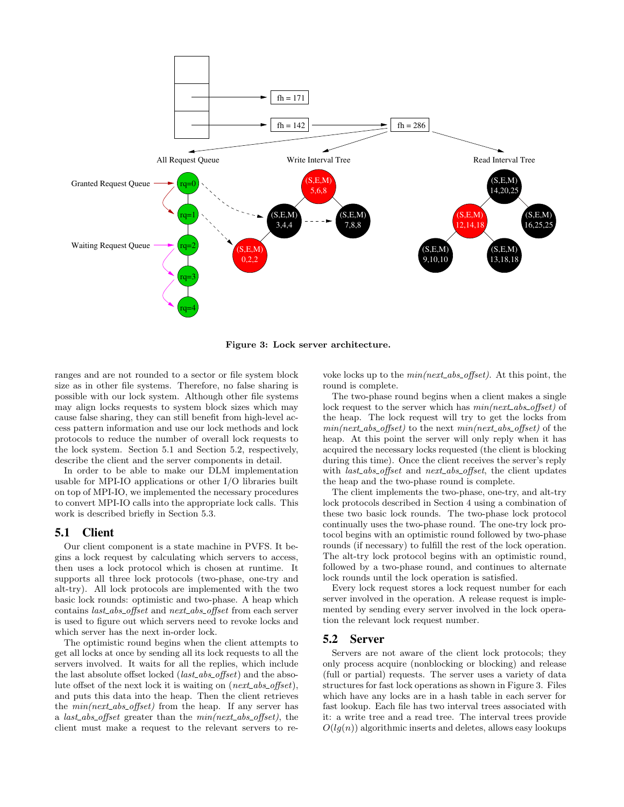

Figure 3: Lock server architecture.

ranges and are not rounded to a sector or file system block size as in other file systems. Therefore, no false sharing is possible with our lock system. Although other file systems may align locks requests to system block sizes which may cause false sharing, they can still benefit from high-level access pattern information and use our lock methods and lock protocols to reduce the number of overall lock requests to the lock system. Section 5.1 and Section 5.2, respectively, describe the client and the server components in detail.

In order to be able to make our DLM implementation usable for MPI-IO applications or other I/O libraries built on top of MPI-IO, we implemented the necessary procedures to convert MPI-IO calls into the appropriate lock calls. This work is described briefly in Section 5.3.

#### **5.1 Client**

Our client component is a state machine in PVFS. It begins a lock request by calculating which servers to access, then uses a lock protocol which is chosen at runtime. It supports all three lock protocols (two-phase, one-try and alt-try). All lock protocols are implemented with the two basic lock rounds: optimistic and two-phase. A heap which contains *last\_abs\_offset* and *next\_abs\_offset* from each server is used to figure out which servers need to revoke locks and which server has the next in-order lock.

The optimistic round begins when the client attempts to get all locks at once by sending all its lock requests to all the servers involved. It waits for all the replies, which include the last absolute offset locked  $(last\_abs\_offset)$  and the absolute offset of the next lock it is waiting on  $(next\_abs\_offset)$ , and puts this data into the heap. Then the client retrieves the  $min(next\_abs\_offset)$  from the heap. If any server has a *last\_abs\_offset* greater than the  $min(next\_abs\_offset)$ , the client must make a request to the relevant servers to revoke locks up to the  $min(next\_abs\_offset)$ . At this point, the round is complete.

The two-phase round begins when a client makes a single lock request to the server which has  $min(next\_abs\_offset)$  of the heap. The lock request will try to get the locks from  $min(next\_abs\_offset)$  to the next  $min(next\_abs\_offset)$  of the heap. At this point the server will only reply when it has acquired the necessary locks requested (the client is blocking during this time). Once the client receives the server's reply with *last\_abs\_offset* and *next\_abs\_offset*, the client updates the heap and the two-phase round is complete.

The client implements the two-phase, one-try, and alt-try lock protocols described in Section 4 using a combination of these two basic lock rounds. The two-phase lock protocol continually uses the two-phase round. The one-try lock protocol begins with an optimistic round followed by two-phase rounds (if necessary) to fulfill the rest of the lock operation. The alt-try lock protocol begins with an optimistic round, followed by a two-phase round, and continues to alternate lock rounds until the lock operation is satisfied.

Every lock request stores a lock request number for each server involved in the operation. A release request is implemented by sending every server involved in the lock operation the relevant lock request number.

#### **5.2 Server**

Servers are not aware of the client lock protocols; they only process acquire (nonblocking or blocking) and release (full or partial) requests. The server uses a variety of data structures for fast lock operations as shown in Figure 3. Files which have any locks are in a hash table in each server for fast lookup. Each file has two interval trees associated with it: a write tree and a read tree. The interval trees provide  $O(lq(n))$  algorithmic inserts and deletes, allows easy lookups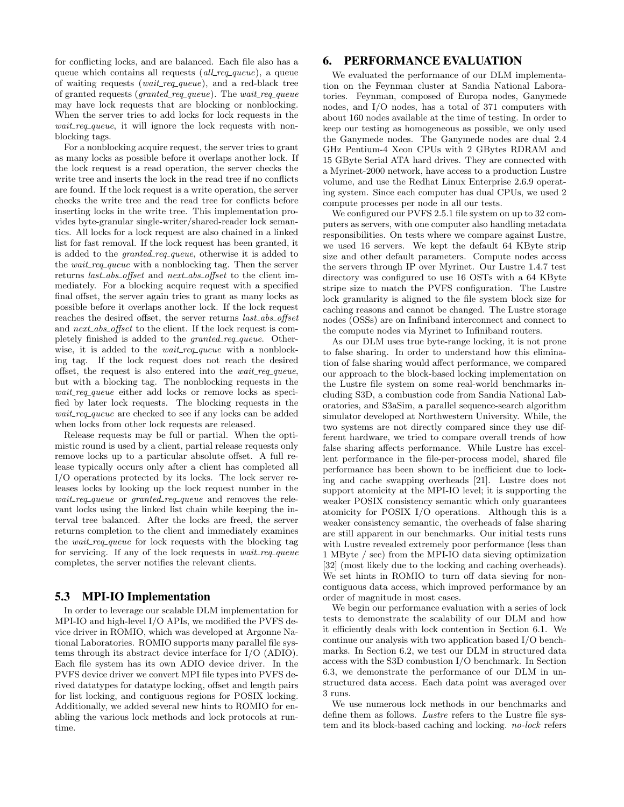for conflicting locks, and are balanced. Each file also has a queue which contains all requests  $\ell$  all requested. of waiting requests (wait req queue), and a red-black tree of granted requests (*granted\_req\_queue*). The *wait\_req\_queue* may have lock requests that are blocking or nonblocking. When the server tries to add locks for lock requests in the wait req queue, it will ignore the lock requests with nonblocking tags.

For a nonblocking acquire request, the server tries to grant as many locks as possible before it overlaps another lock. If the lock request is a read operation, the server checks the write tree and inserts the lock in the read tree if no conflicts are found. If the lock request is a write operation, the server checks the write tree and the read tree for conflicts before inserting locks in the write tree. This implementation provides byte-granular single-writer/shared-reader lock semantics. All locks for a lock request are also chained in a linked list for fast removal. If the lock request has been granted, it is added to the *granted\_req\_queue*, otherwise it is added to the *wait\_req\_queue* with a nonblocking tag. Then the server returns last\_abs\_offset and next\_abs\_offset to the client immediately. For a blocking acquire request with a specified final offset, the server again tries to grant as many locks as possible before it overlaps another lock. If the lock request reaches the desired offset, the server returns last\_abs\_offset and *next\_abs\_offset* to the client. If the lock request is completely finished is added to the *granted\_req\_queue*. Otherwise, it is added to the *wait\_req\_queue* with a nonblocking tag. If the lock request does not reach the desired offset, the request is also entered into the  $wait\_req\_queue$ , but with a blocking tag. The nonblocking requests in the wait req queue either add locks or remove locks as specified by later lock requests. The blocking requests in the wait req queue are checked to see if any locks can be added when locks from other lock requests are released.

Release requests may be full or partial. When the optimistic round is used by a client, partial release requests only remove locks up to a particular absolute offset. A full release typically occurs only after a client has completed all I/O operations protected by its locks. The lock server releases locks by looking up the lock request number in the wait\_req\_queue or granted\_req\_queue and removes the relevant locks using the linked list chain while keeping the interval tree balanced. After the locks are freed, the server returns completion to the client and immediately examines the *wait\_req\_queue* for lock requests with the blocking tag for servicing. If any of the lock requests in wait\_req\_queue completes, the server notifies the relevant clients.

#### **5.3 MPI-IO Implementation**

In order to leverage our scalable DLM implementation for MPI-IO and high-level I/O APIs, we modified the PVFS device driver in ROMIO, which was developed at Argonne National Laboratories. ROMIO supports many parallel file systems through its abstract device interface for I/O (ADIO). Each file system has its own ADIO device driver. In the PVFS device driver we convert MPI file types into PVFS derived datatypes for datatype locking, offset and length pairs for list locking, and contiguous regions for POSIX locking. Additionally, we added several new hints to ROMIO for enabling the various lock methods and lock protocols at runtime.

## **6. PERFORMANCE EVALUATION**

We evaluated the performance of our DLM implementation on the Feynman cluster at Sandia National Laboratories. Feynman, composed of Europa nodes, Ganymede nodes, and I/O nodes, has a total of 371 computers with about 160 nodes available at the time of testing. In order to keep our testing as homogeneous as possible, we only used the Ganymede nodes. The Ganymede nodes are dual 2.4 GHz Pentium-4 Xeon CPUs with 2 GBytes RDRAM and 15 GByte Serial ATA hard drives. They are connected with a Myrinet-2000 network, have access to a production Lustre volume, and use the Redhat Linux Enterprise 2.6.9 operating system. Since each computer has dual CPUs, we used 2 compute processes per node in all our tests.

We configured our PVFS 2.5.1 file system on up to 32 computers as servers, with one computer also handling metadata responsibilities. On tests where we compare against Lustre, we used 16 servers. We kept the default 64 KByte strip size and other default parameters. Compute nodes access the servers through IP over Myrinet. Our Lustre 1.4.7 test directory was configured to use 16 OSTs with a 64 KByte stripe size to match the PVFS configuration. The Lustre lock granularity is aligned to the file system block size for caching reasons and cannot be changed. The Lustre storage nodes (OSSs) are on Infiniband interconnect and connect to the compute nodes via Myrinet to Infiniband routers.

As our DLM uses true byte-range locking, it is not prone to false sharing. In order to understand how this elimination of false sharing would affect performance, we compared our approach to the block-based locking implementation on the Lustre file system on some real-world benchmarks including S3D, a combustion code from Sandia National Laboratories, and S3aSim, a parallel sequence-search algorithm simulator developed at Northwestern University. While, the two systems are not directly compared since they use different hardware, we tried to compare overall trends of how false sharing affects performance. While Lustre has excellent performance in the file-per-process model, shared file performance has been shown to be inefficient due to locking and cache swapping overheads [21]. Lustre does not support atomicity at the MPI-IO level; it is supporting the weaker POSIX consistency semantic which only guarantees atomicity for POSIX I/O operations. Although this is a weaker consistency semantic, the overheads of false sharing are still apparent in our benchmarks. Our initial tests runs with Lustre revealed extremely poor performance (less than 1 MByte / sec) from the MPI-IO data sieving optimization [32] (most likely due to the locking and caching overheads). We set hints in ROMIO to turn off data sieving for noncontiguous data access, which improved performance by an order of magnitude in most cases.

We begin our performance evaluation with a series of lock tests to demonstrate the scalability of our DLM and how it efficiently deals with lock contention in Section 6.1. We continue our analysis with two application based I/O benchmarks. In Section 6.2, we test our DLM in structured data access with the S3D combustion I/O benchmark. In Section 6.3, we demonstrate the performance of our DLM in unstructured data access. Each data point was averaged over 3 runs.

We use numerous lock methods in our benchmarks and define them as follows. Lustre refers to the Lustre file system and its block-based caching and locking. no-lock refers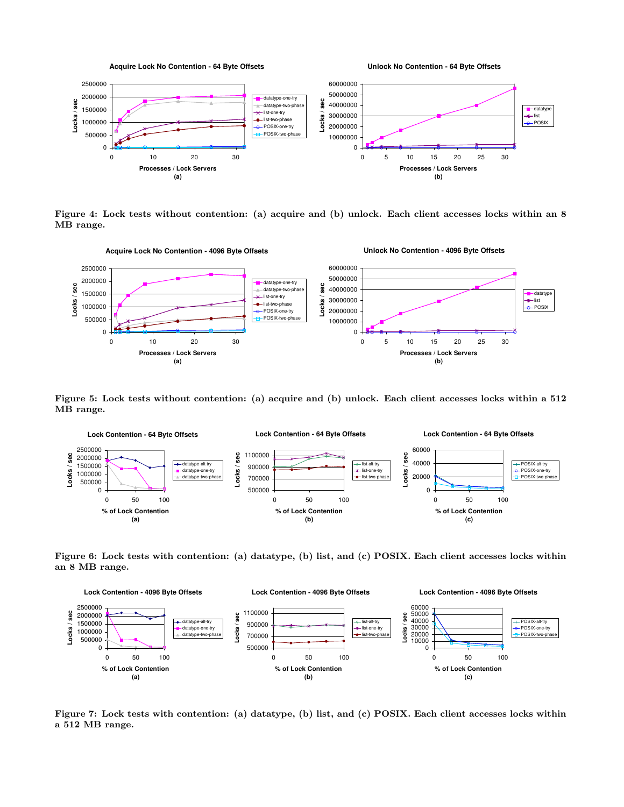

Figure 4: Lock tests without contention: (a) acquire and (b) unlock. Each client accesses locks within an 8 MB range.



Figure 5: Lock tests without contention: (a) acquire and (b) unlock. Each client accesses locks within a 512 MB range.



Figure 6: Lock tests with contention: (a) datatype, (b) list, and (c) POSIX. Each client accesses locks within an 8 MB range.



Figure 7: Lock tests with contention: (a) datatype, (b) list, and (c) POSIX. Each client accesses locks within a 512 MB range.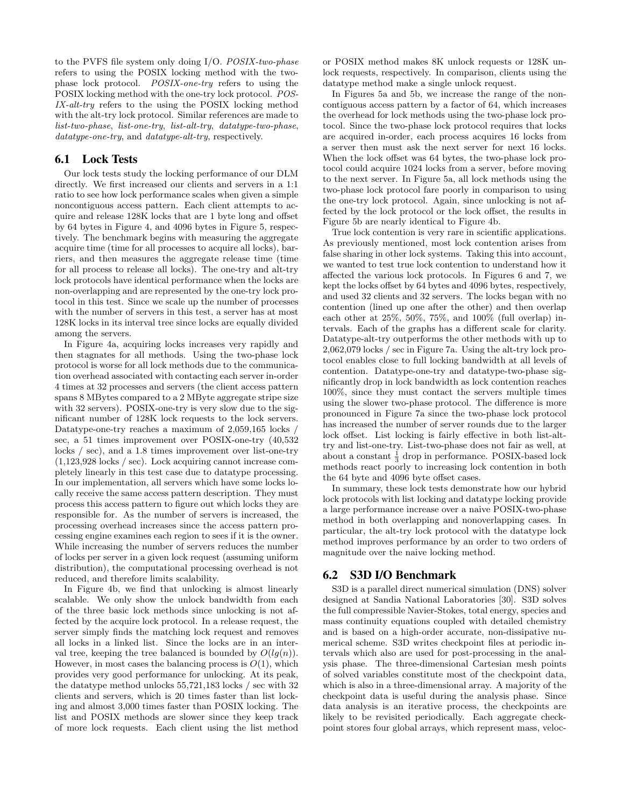to the PVFS file system only doing I/O. POSIX-two-phase refers to using the POSIX locking method with the twophase lock protocol. POSIX-one-try refers to using the POSIX locking method with the one-try lock protocol. POS-IX-alt-try refers to the using the POSIX locking method with the alt-try lock protocol. Similar references are made to list-two-phase, list-one-try, list-alt-try, datatype-two-phase, datatype-one-try, and datatype-alt-try, respectively.

## **6.1 Lock Tests**

Our lock tests study the locking performance of our DLM directly. We first increased our clients and servers in a 1:1 ratio to see how lock performance scales when given a simple noncontiguous access pattern. Each client attempts to acquire and release 128K locks that are 1 byte long and offset by 64 bytes in Figure 4, and 4096 bytes in Figure 5, respectively. The benchmark begins with measuring the aggregate acquire time (time for all processes to acquire all locks), barriers, and then measures the aggregate release time (time for all process to release all locks). The one-try and alt-try lock protocols have identical performance when the locks are non-overlapping and are represented by the one-try lock protocol in this test. Since we scale up the number of processes with the number of servers in this test, a server has at most 128K locks in its interval tree since locks are equally divided among the servers.

In Figure 4a, acquiring locks increases very rapidly and then stagnates for all methods. Using the two-phase lock protocol is worse for all lock methods due to the communication overhead associated with contacting each server in-order 4 times at 32 processes and servers (the client access pattern spans 8 MBytes compared to a 2 MByte aggregate stripe size with 32 servers). POSIX-one-try is very slow due to the significant number of 128K lock requests to the lock servers. Datatype-one-try reaches a maximum of 2,059,165 locks / sec, a 51 times improvement over POSIX-one-try (40,532 locks / sec), and a 1.8 times improvement over list-one-try (1,123,928 locks / sec). Lock acquiring cannot increase completely linearly in this test case due to datatype processing. In our implementation, all servers which have some locks locally receive the same access pattern description. They must process this access pattern to figure out which locks they are responsible for. As the number of servers is increased, the processing overhead increases since the access pattern processing engine examines each region to sees if it is the owner. While increasing the number of servers reduces the number of locks per server in a given lock request (assuming uniform distribution), the computational processing overhead is not reduced, and therefore limits scalability.

In Figure 4b, we find that unlocking is almost linearly scalable. We only show the unlock bandwidth from each of the three basic lock methods since unlocking is not affected by the acquire lock protocol. In a release request, the server simply finds the matching lock request and removes all locks in a linked list. Since the locks are in an interval tree, keeping the tree balanced is bounded by  $O(lq(n))$ . However, in most cases the balancing process is  $O(1)$ , which provides very good performance for unlocking. At its peak, the datatype method unlocks 55,721,183 locks / sec with 32 clients and servers, which is 20 times faster than list locking and almost 3,000 times faster than POSIX locking. The list and POSIX methods are slower since they keep track of more lock requests. Each client using the list method or POSIX method makes 8K unlock requests or 128K unlock requests, respectively. In comparison, clients using the datatype method make a single unlock request.

In Figures 5a and 5b, we increase the range of the noncontiguous access pattern by a factor of 64, which increases the overhead for lock methods using the two-phase lock protocol. Since the two-phase lock protocol requires that locks are acquired in-order, each process acquires 16 locks from a server then must ask the next server for next 16 locks. When the lock offset was 64 bytes, the two-phase lock protocol could acquire 1024 locks from a server, before moving to the next server. In Figure 5a, all lock methods using the two-phase lock protocol fare poorly in comparison to using the one-try lock protocol. Again, since unlocking is not affected by the lock protocol or the lock offset, the results in Figure 5b are nearly identical to Figure 4b.

True lock contention is very rare in scientific applications. As previously mentioned, most lock contention arises from false sharing in other lock systems. Taking this into account, we wanted to test true lock contention to understand how it affected the various lock protocols. In Figures 6 and 7, we kept the locks offset by 64 bytes and 4096 bytes, respectively, and used 32 clients and 32 servers. The locks began with no contention (lined up one after the other) and then overlap each other at 25%, 50%, 75%, and 100% (full overlap) intervals. Each of the graphs has a different scale for clarity. Datatype-alt-try outperforms the other methods with up to 2,062,079 locks / sec in Figure 7a. Using the alt-try lock protocol enables close to full locking bandwidth at all levels of contention. Datatype-one-try and datatype-two-phase significantly drop in lock bandwidth as lock contention reaches 100%, since they must contact the servers multiple times using the slower two-phase protocol. The difference is more pronounced in Figure 7a since the two-phase lock protocol has increased the number of server rounds due to the larger lock offset. List locking is fairly effective in both list-alttry and list-one-try. List-two-phase does not fair as well, at about a constant  $\frac{1}{3}$  drop in performance. POSIX-based lock methods react poorly to increasing lock contention in both the 64 byte and 4096 byte offset cases.

In summary, these lock tests demonstrate how our hybrid lock protocols with list locking and datatype locking provide a large performance increase over a naive POSIX-two-phase method in both overlapping and nonoverlapping cases. In particular, the alt-try lock protocol with the datatype lock method improves performance by an order to two orders of magnitude over the naive locking method.

#### **6.2 S3D I/O Benchmark**

S3D is a parallel direct numerical simulation (DNS) solver designed at Sandia National Laboratories [30]. S3D solves the full compressible Navier-Stokes, total energy, species and mass continuity equations coupled with detailed chemistry and is based on a high-order accurate, non-dissipative numerical scheme. S3D writes checkpoint files at periodic intervals which also are used for post-processing in the analysis phase. The three-dimensional Cartesian mesh points of solved variables constitute most of the checkpoint data, which is also in a three-dimensional array. A majority of the checkpoint data is useful during the analysis phase. Since data analysis is an iterative process, the checkpoints are likely to be revisited periodically. Each aggregate checkpoint stores four global arrays, which represent mass, veloc-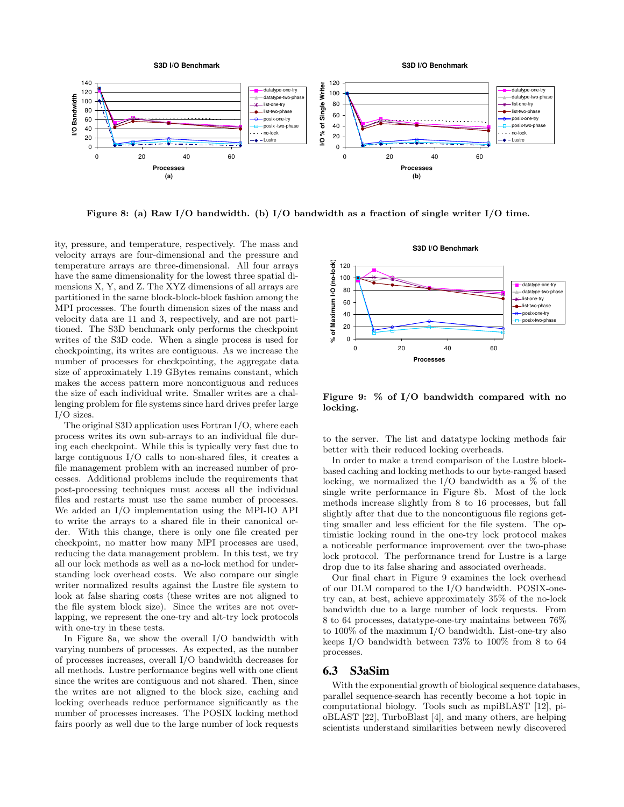

Figure 8: (a) Raw I/O bandwidth. (b) I/O bandwidth as a fraction of single writer I/O time.

ity, pressure, and temperature, respectively. The mass and velocity arrays are four-dimensional and the pressure and temperature arrays are three-dimensional. All four arrays have the same dimensionality for the lowest three spatial dimensions X, Y, and Z. The XYZ dimensions of all arrays are partitioned in the same block-block-block fashion among the MPI processes. The fourth dimension sizes of the mass and velocity data are 11 and 3, respectively, and are not partitioned. The S3D benchmark only performs the checkpoint writes of the S3D code. When a single process is used for checkpointing, its writes are contiguous. As we increase the number of processes for checkpointing, the aggregate data size of approximately 1.19 GBytes remains constant, which makes the access pattern more noncontiguous and reduces the size of each individual write. Smaller writes are a challenging problem for file systems since hard drives prefer large I/O sizes.

The original S3D application uses Fortran I/O, where each process writes its own sub-arrays to an individual file during each checkpoint. While this is typically very fast due to large contiguous I/O calls to non-shared files, it creates a file management problem with an increased number of processes. Additional problems include the requirements that post-processing techniques must access all the individual files and restarts must use the same number of processes. We added an I/O implementation using the MPI-IO API to write the arrays to a shared file in their canonical order. With this change, there is only one file created per checkpoint, no matter how many MPI processes are used, reducing the data management problem. In this test, we try all our lock methods as well as a no-lock method for understanding lock overhead costs. We also compare our single writer normalized results against the Lustre file system to look at false sharing costs (these writes are not aligned to the file system block size). Since the writes are not overlapping, we represent the one-try and alt-try lock protocols with one-try in these tests.

In Figure 8a, we show the overall I/O bandwidth with varying numbers of processes. As expected, as the number of processes increases, overall I/O bandwidth decreases for all methods. Lustre performance begins well with one client since the writes are contiguous and not shared. Then, since the writes are not aligned to the block size, caching and locking overheads reduce performance significantly as the number of processes increases. The POSIX locking method fairs poorly as well due to the large number of lock requests



Figure 9: % of I/O bandwidth compared with no locking.

to the server. The list and datatype locking methods fair better with their reduced locking overheads.

In order to make a trend comparison of the Lustre blockbased caching and locking methods to our byte-ranged based locking, we normalized the I/O bandwidth as a  $\%$  of the single write performance in Figure 8b. Most of the lock methods increase slightly from 8 to 16 processes, but fall slightly after that due to the noncontiguous file regions getting smaller and less efficient for the file system. The optimistic locking round in the one-try lock protocol makes a noticeable performance improvement over the two-phase lock protocol. The performance trend for Lustre is a large drop due to its false sharing and associated overheads.

Our final chart in Figure 9 examines the lock overhead of our DLM compared to the I/O bandwidth. POSIX-onetry can, at best, achieve approximately 35% of the no-lock bandwidth due to a large number of lock requests. From 8 to 64 processes, datatype-one-try maintains between 76% to 100% of the maximum I/O bandwidth. List-one-try also keeps I/O bandwidth between 73% to 100% from 8 to 64 processes.

#### **6.3 S3aSim**

With the exponential growth of biological sequence databases, parallel sequence-search has recently become a hot topic in computational biology. Tools such as mpiBLAST [12], pioBLAST [22], TurboBlast [4], and many others, are helping scientists understand similarities between newly discovered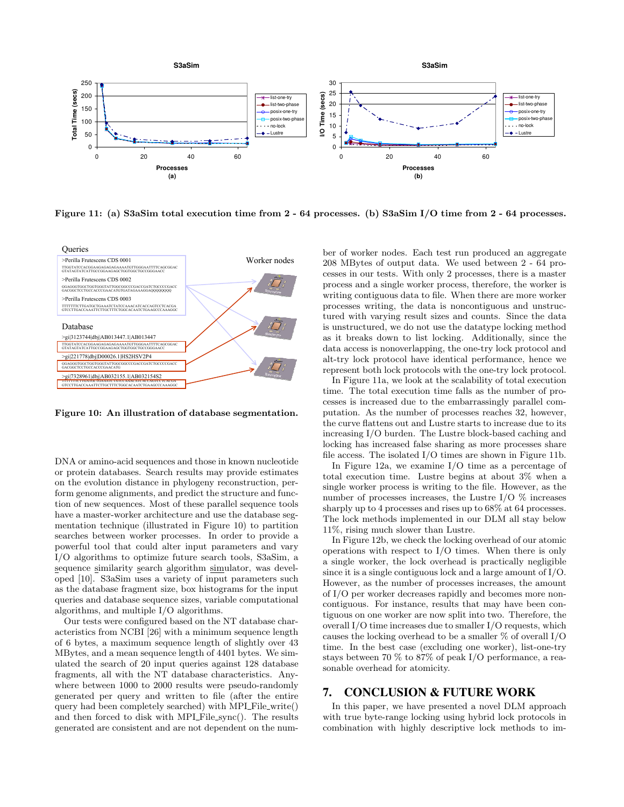

Figure 11: (a) S3aSim total execution time from 2 - 64 processes. (b) S3aSim I/O time from 2 - 64 processes.



Figure 10: An illustration of database segmentation.

DNA or amino-acid sequences and those in known nucleotide or protein databases. Search results may provide estimates on the evolution distance in phylogeny reconstruction, perform genome alignments, and predict the structure and function of new sequences. Most of these parallel sequence tools have a master-worker architecture and use the database segmentation technique (illustrated in Figure 10) to partition searches between worker processes. In order to provide a powerful tool that could alter input parameters and vary I/O algorithms to optimize future search tools, S3aSim, a sequence similarity search algorithm simulator, was developed [10]. S3aSim uses a variety of input parameters such as the database fragment size, box histograms for the input queries and database sequence sizes, variable computational algorithms, and multiple I/O algorithms.

Our tests were configured based on the NT database characteristics from NCBI [26] with a minimum sequence length of 6 bytes, a maximum sequence length of slightly over 43 MBytes, and a mean sequence length of 4401 bytes. We simulated the search of 20 input queries against 128 database fragments, all with the NT database characteristics. Anywhere between 1000 to 2000 results were pseudo-randomly generated per query and written to file (after the entire query had been completely searched) with MPI File write() and then forced to disk with MPI File sync(). The results generated are consistent and are not dependent on the number of worker nodes. Each test run produced an aggregate 208 MBytes of output data. We used between 2 - 64 processes in our tests. With only 2 processes, there is a master process and a single worker process, therefore, the worker is writing contiguous data to file. When there are more worker processes writing, the data is noncontiguous and unstructured with varying result sizes and counts. Since the data is unstructured, we do not use the datatype locking method as it breaks down to list locking. Additionally, since the data access is nonoverlapping, the one-try lock protocol and alt-try lock protocol have identical performance, hence we represent both lock protocols with the one-try lock protocol.

In Figure 11a, we look at the scalability of total execution time. The total execution time falls as the number of processes is increased due to the embarrassingly parallel computation. As the number of processes reaches 32, however, the curve flattens out and Lustre starts to increase due to its increasing I/O burden. The Lustre block-based caching and locking has increased false sharing as more processes share file access. The isolated I/O times are shown in Figure 11b.

In Figure 12a, we examine I/O time as a percentage of total execution time. Lustre begins at about 3% when a single worker process is writing to the file. However, as the number of processes increases, the Lustre I/O % increases sharply up to 4 processes and rises up to 68% at 64 processes. The lock methods implemented in our DLM all stay below 11%, rising much slower than Lustre.

In Figure 12b, we check the locking overhead of our atomic operations with respect to I/O times. When there is only a single worker, the lock overhead is practically negligible since it is a single contiguous lock and a large amount of I/O. However, as the number of processes increases, the amount of I/O per worker decreases rapidly and becomes more noncontiguous. For instance, results that may have been contiguous on one worker are now split into two. Therefore, the overall I/O time increases due to smaller I/O requests, which causes the locking overhead to be a smaller  $\%$  of overall I/O time. In the best case (excluding one worker), list-one-try stays between 70 % to 87% of peak I/O performance, a reasonable overhead for atomicity.

## **7. CONCLUSION & FUTURE WORK**

In this paper, we have presented a novel DLM approach with true byte-range locking using hybrid lock protocols in combination with highly descriptive lock methods to im-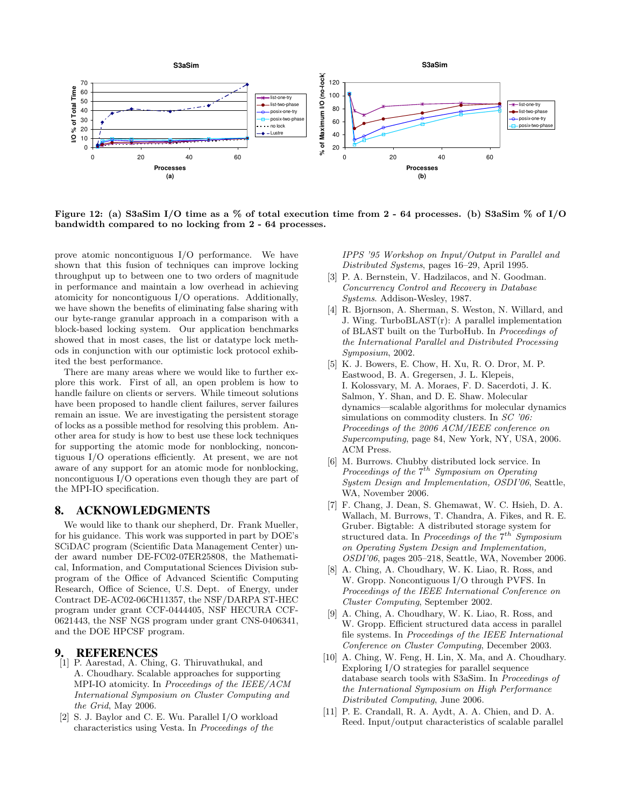

Figure 12: (a) S3aSim I/O time as a % of total execution time from  $2 - 64$  processes. (b) S3aSim % of I/O bandwidth compared to no locking from 2 - 64 processes.

prove atomic noncontiguous I/O performance. We have shown that this fusion of techniques can improve locking throughput up to between one to two orders of magnitude in performance and maintain a low overhead in achieving atomicity for noncontiguous I/O operations. Additionally, we have shown the benefits of eliminating false sharing with our byte-range granular approach in a comparison with a block-based locking system. Our application benchmarks showed that in most cases, the list or datatype lock methods in conjunction with our optimistic lock protocol exhibited the best performance.

There are many areas where we would like to further explore this work. First of all, an open problem is how to handle failure on clients or servers. While timeout solutions have been proposed to handle client failures, server failures remain an issue. We are investigating the persistent storage of locks as a possible method for resolving this problem. Another area for study is how to best use these lock techniques for supporting the atomic mode for nonblocking, noncontiguous I/O operations efficiently. At present, we are not aware of any support for an atomic mode for nonblocking, noncontiguous I/O operations even though they are part of the MPI-IO specification.

## **8. ACKNOWLEDGMENTS**

We would like to thank our shepherd, Dr. Frank Mueller, for his guidance. This work was supported in part by DOE's SCiDAC program (Scientific Data Management Center) under award number DE-FC02-07ER25808, the Mathematical, Information, and Computational Sciences Division subprogram of the Office of Advanced Scientific Computing Research, Office of Science, U.S. Dept. of Energy, under Contract DE-AC02-06CH11357, the NSF/DARPA ST-HEC program under grant CCF-0444405, NSF HECURA CCF-0621443, the NSF NGS program under grant CNS-0406341, and the DOE HPCSF program.

### **9. REFERENCES**

- [1] P. Aarestad, A. Ching, G. Thiruvathukal, and A. Choudhary. Scalable approaches for supporting MPI-IO atomicity. In Proceedings of the IEEE/ACM International Symposium on Cluster Computing and the Grid, May 2006.
- [2] S. J. Baylor and C. E. Wu. Parallel I/O workload characteristics using Vesta. In Proceedings of the

IPPS '95 Workshop on Input/Output in Parallel and Distributed Systems, pages 16–29, April 1995.

- [3] P. A. Bernstein, V. Hadzilacos, and N. Goodman. Concurrency Control and Recovery in Database Systems. Addison-Wesley, 1987.
- [4] R. Bjornson, A. Sherman, S. Weston, N. Willard, and J. Wing. TurboBLAST(r): A parallel implementation of BLAST built on the TurboHub. In Proceedings of the International Parallel and Distributed Processing Symposium, 2002.
- [5] K. J. Bowers, E. Chow, H. Xu, R. O. Dror, M. P. Eastwood, B. A. Gregersen, J. L. Klepeis, I. Kolossvary, M. A. Moraes, F. D. Sacerdoti, J. K. Salmon, Y. Shan, and D. E. Shaw. Molecular dynamics—scalable algorithms for molecular dynamics simulations on commodity clusters. In SC '06: Proceedings of the 2006 ACM/IEEE conference on Supercomputing, page 84, New York, NY, USA, 2006. ACM Press.
- [6] M. Burrows. Chubby distributed lock service. In Proceedings of the  $7^{th}$  Symposium on Operating System Design and Implementation, OSDI'06, Seattle, WA, November 2006.
- [7] F. Chang, J. Dean, S. Ghemawat, W. C. Hsieh, D. A. Wallach, M. Burrows, T. Chandra, A. Fikes, and R. E. Gruber. Bigtable: A distributed storage system for structured data. In *Proceedings of the*  $7^{th}$  Symposium on Operating System Design and Implementation, OSDI'06, pages 205–218, Seattle, WA, November 2006.
- [8] A. Ching, A. Choudhary, W. K. Liao, R. Ross, and W. Gropp. Noncontiguous I/O through PVFS. In Proceedings of the IEEE International Conference on Cluster Computing, September 2002.
- [9] A. Ching, A. Choudhary, W. K. Liao, R. Ross, and W. Gropp. Efficient structured data access in parallel file systems. In Proceedings of the IEEE International Conference on Cluster Computing, December 2003.
- [10] A. Ching, W. Feng, H. Lin, X. Ma, and A. Choudhary. Exploring I/O strategies for parallel sequence database search tools with S3aSim. In Proceedings of the International Symposium on High Performance Distributed Computing, June 2006.
- [11] P. E. Crandall, R. A. Aydt, A. A. Chien, and D. A. Reed. Input/output characteristics of scalable parallel